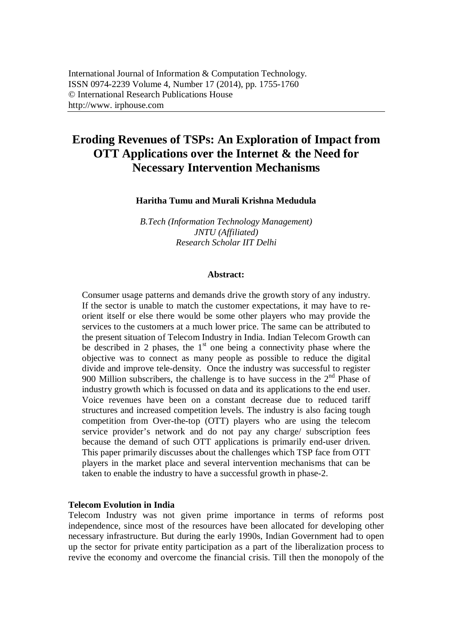# **Eroding Revenues of TSPs: An Exploration of Impact from OTT Applications over the Internet & the Need for Necessary Intervention Mechanisms**

## **Haritha Tumu and Murali Krishna Medudula**

*B.Tech (Information Technology Management) JNTU (Affiliated) Research Scholar IIT Delhi*

#### **Abstract:**

Consumer usage patterns and demands drive the growth story of any industry. If the sector is unable to match the customer expectations, it may have to reorient itself or else there would be some other players who may provide the services to the customers at a much lower price. The same can be attributed to the present situation of Telecom Industry in India. Indian Telecom Growth can be described in 2 phases, the  $1<sup>st</sup>$  one being a connectivity phase where the objective was to connect as many people as possible to reduce the digital divide and improve tele-density. Once the industry was successful to register 900 Million subscribers, the challenge is to have success in the  $2<sup>nd</sup>$  Phase of industry growth which is focussed on data and its applications to the end user. Voice revenues have been on a constant decrease due to reduced tariff structures and increased competition levels. The industry is also facing tough competition from Over-the-top (OTT) players who are using the telecom service provider's network and do not pay any charge/ subscription fees because the demand of such OTT applications is primarily end-user driven. This paper primarily discusses about the challenges which TSP face from OTT players in the market place and several intervention mechanisms that can be taken to enable the industry to have a successful growth in phase-2.

#### **Telecom Evolution in India**

Telecom Industry was not given prime importance in terms of reforms post independence, since most of the resources have been allocated for developing other necessary infrastructure. But during the early 1990s, Indian Government had to open up the sector for private entity participation as a part of the liberalization process to revive the economy and overcome the financial crisis. Till then the monopoly of the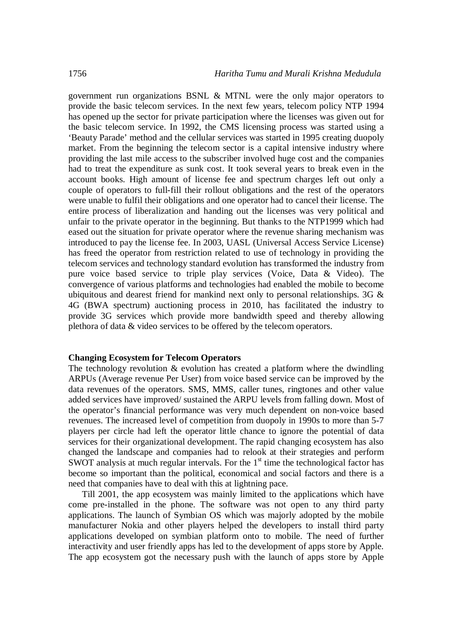government run organizations BSNL & MTNL were the only major operators to provide the basic telecom services. In the next few years, telecom policy NTP 1994 has opened up the sector for private participation where the licenses was given out for the basic telecom service. In 1992, the CMS licensing process was started using a 'Beauty Parade' method and the cellular services was started in 1995 creating duopoly market. From the beginning the telecom sector is a capital intensive industry where providing the last mile access to the subscriber involved huge cost and the companies had to treat the expenditure as sunk cost. It took several years to break even in the account books. High amount of license fee and spectrum charges left out only a couple of operators to full-fill their rollout obligations and the rest of the operators were unable to fulfil their obligations and one operator had to cancel their license. The entire process of liberalization and handing out the licenses was very political and unfair to the private operator in the beginning. But thanks to the NTP1999 which had eased out the situation for private operator where the revenue sharing mechanism was introduced to pay the license fee. In 2003, UASL (Universal Access Service License) has freed the operator from restriction related to use of technology in providing the telecom services and technology standard evolution has transformed the industry from pure voice based service to triple play services (Voice, Data & Video). The convergence of various platforms and technologies had enabled the mobile to become ubiquitous and dearest friend for mankind next only to personal relationships. 3G & 4G (BWA spectrum) auctioning process in 2010, has facilitated the industry to provide 3G services which provide more bandwidth speed and thereby allowing plethora of data & video services to be offered by the telecom operators.

#### **Changing Ecosystem for Telecom Operators**

The technology revolution  $\&$  evolution has created a platform where the dwindling ARPUs (Average revenue Per User) from voice based service can be improved by the data revenues of the operators. SMS, MMS, caller tunes, ringtones and other value added services have improved/ sustained the ARPU levels from falling down. Most of the operator's financial performance was very much dependent on non-voice based revenues. The increased level of competition from duopoly in 1990s to more than 5-7 players per circle had left the operator little chance to ignore the potential of data services for their organizational development. The rapid changing ecosystem has also changed the landscape and companies had to relook at their strategies and perform SWOT analysis at much regular intervals. For the  $1<sup>st</sup>$  time the technological factor has become so important than the political, economical and social factors and there is a need that companies have to deal with this at lightning pace.

Till 2001, the app ecosystem was mainly limited to the applications which have come pre-installed in the phone. The software was not open to any third party applications. The launch of Symbian OS which was majorly adopted by the mobile manufacturer Nokia and other players helped the developers to install third party applications developed on symbian platform onto to mobile. The need of further interactivity and user friendly apps has led to the development of apps store by Apple. The app ecosystem got the necessary push with the launch of apps store by Apple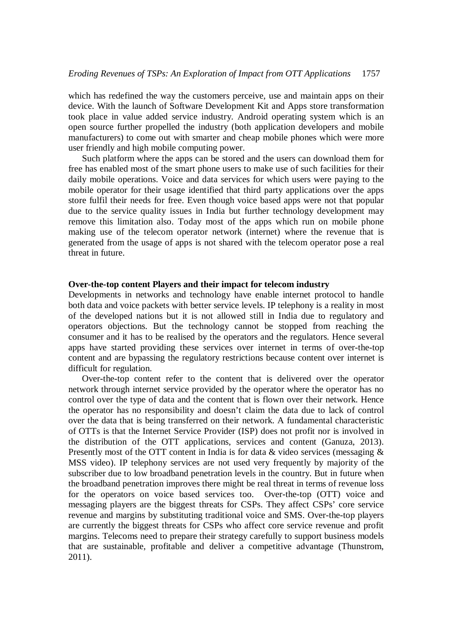which has redefined the way the customers perceive, use and maintain apps on their device. With the launch of Software Development Kit and Apps store transformation took place in value added service industry. Android operating system which is an open source further propelled the industry (both application developers and mobile manufacturers) to come out with smarter and cheap mobile phones which were more user friendly and high mobile computing power.

Such platform where the apps can be stored and the users can download them for free has enabled most of the smart phone users to make use of such facilities for their daily mobile operations. Voice and data services for which users were paying to the mobile operator for their usage identified that third party applications over the apps store fulfil their needs for free. Even though voice based apps were not that popular due to the service quality issues in India but further technology development may remove this limitation also. Today most of the apps which run on mobile phone making use of the telecom operator network (internet) where the revenue that is generated from the usage of apps is not shared with the telecom operator pose a real threat in future.

## **Over-the-top content Players and their impact for telecom industry**

Developments in networks and technology have enable internet protocol to handle both data and voice packets with better service levels. IP telephony is a reality in most of the developed nations but it is not allowed still in India due to regulatory and operators objections. But the technology cannot be stopped from reaching the consumer and it has to be realised by the operators and the regulators. Hence several apps have started providing these services over internet in terms of over-the-top content and are bypassing the regulatory restrictions because content over internet is difficult for regulation.

Over-the-top content refer to the content that is delivered over the operator network through internet service provided by the operator where the operator has no control over the type of data and the content that is flown over their network. Hence the operator has no responsibility and doesn't claim the data due to lack of control over the data that is being transferred on their network. A fundamental characteristic of OTTs is that the Internet Service Provider (ISP) does not profit nor is involved in the distribution of the OTT applications, services and content (Ganuza, 2013). Presently most of the OTT content in India is for data  $\&$  video services (messaging  $\&$ MSS video). IP telephony services are not used very frequently by majority of the subscriber due to low broadband penetration levels in the country. But in future when the broadband penetration improves there might be real threat in terms of revenue loss for the operators on voice based services too. Over-the-top (OTT) voice and messaging players are the biggest threats for CSPs. They affect CSPs' core service revenue and margins by substituting traditional voice and SMS. Over-the-top players are currently the biggest threats for CSPs who affect core service revenue and profit margins. Telecoms need to prepare their strategy carefully to support business models that are sustainable, profitable and deliver a competitive advantage (Thunstrom, 2011).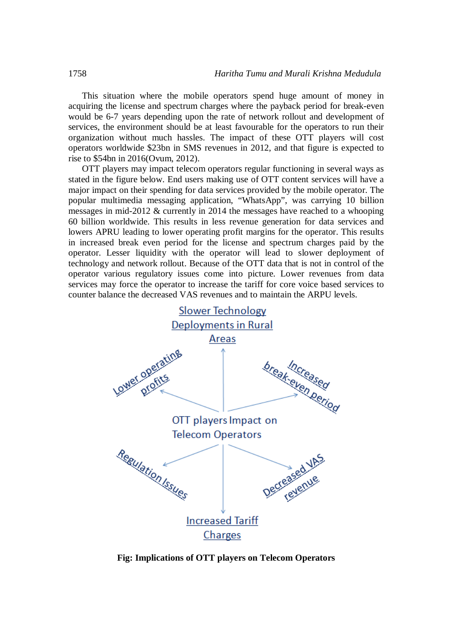This situation where the mobile operators spend huge amount of money in acquiring the license and spectrum charges where the payback period for break-even would be 6-7 years depending upon the rate of network rollout and development of services, the environment should be at least favourable for the operators to run their organization without much hassles. The impact of these OTT players will cost operators worldwide \$23bn in SMS revenues in 2012, and that figure is expected to rise to \$54bn in 2016(Ovum, 2012).

OTT players may impact telecom operators regular functioning in several ways as stated in the figure below. End users making use of OTT content services will have a major impact on their spending for data services provided by the mobile operator. The popular multimedia messaging application, "WhatsApp", was carrying 10 billion messages in mid-2012 & currently in 2014 the messages have reached to a whooping 60 billion worldwide. This results in less revenue generation for data services and lowers APRU leading to lower operating profit margins for the operator. This results in increased break even period for the license and spectrum charges paid by the operator. Lesser liquidity with the operator will lead to slower deployment of technology and network rollout. Because of the OTT data that is not in control of the operator various regulatory issues come into picture. Lower revenues from data services may force the operator to increase the tariff for core voice based services to counter balance the decreased VAS revenues and to maintain the ARPU levels.



**Fig: Implications of OTT players on Telecom Operators**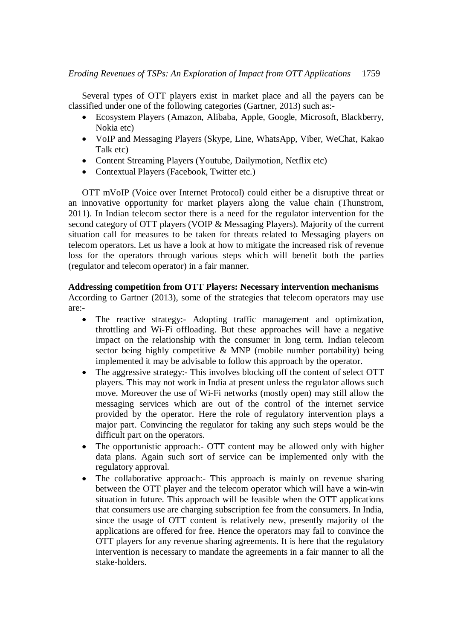Several types of OTT players exist in market place and all the payers can be classified under one of the following categories (Gartner, 2013) such as:-

- Ecosystem Players (Amazon, Alibaba, Apple, Google, Microsoft, Blackberry, Nokia etc)
- VoIP and Messaging Players (Skype, Line, WhatsApp, Viber, WeChat, Kakao Talk etc)
- Content Streaming Players (Youtube, Dailymotion, Netflix etc)
- Contextual Players (Facebook, Twitter etc.)

OTT mVoIP (Voice over Internet Protocol) could either be a disruptive threat or an innovative opportunity for market players along the value chain (Thunstrom, 2011). In Indian telecom sector there is a need for the regulator intervention for the second category of OTT players (VOIP & Messaging Players). Majority of the current situation call for measures to be taken for threats related to Messaging players on telecom operators. Let us have a look at how to mitigate the increased risk of revenue loss for the operators through various steps which will benefit both the parties (regulator and telecom operator) in a fair manner.

## **Addressing competition from OTT Players: Necessary intervention mechanisms**

According to Gartner (2013), some of the strategies that telecom operators may use are:-

- The reactive strategy:- Adopting traffic management and optimization, throttling and Wi-Fi offloading. But these approaches will have a negative impact on the relationship with the consumer in long term. Indian telecom sector being highly competitive & MNP (mobile number portability) being implemented it may be advisable to follow this approach by the operator.
- The aggressive strategy: This involves blocking off the content of select OTT players. This may not work in India at present unless the regulator allows such move. Moreover the use of Wi-Fi networks (mostly open) may still allow the messaging services which are out of the control of the internet service provided by the operator. Here the role of regulatory intervention plays a major part. Convincing the regulator for taking any such steps would be the difficult part on the operators.
- The opportunistic approach:- OTT content may be allowed only with higher data plans. Again such sort of service can be implemented only with the regulatory approval.
- The collaborative approach:- This approach is mainly on revenue sharing between the OTT player and the telecom operator which will have a win-win situation in future. This approach will be feasible when the OTT applications that consumers use are charging subscription fee from the consumers. In India, since the usage of OTT content is relatively new, presently majority of the applications are offered for free. Hence the operators may fail to convince the OTT players for any revenue sharing agreements. It is here that the regulatory intervention is necessary to mandate the agreements in a fair manner to all the stake-holders.